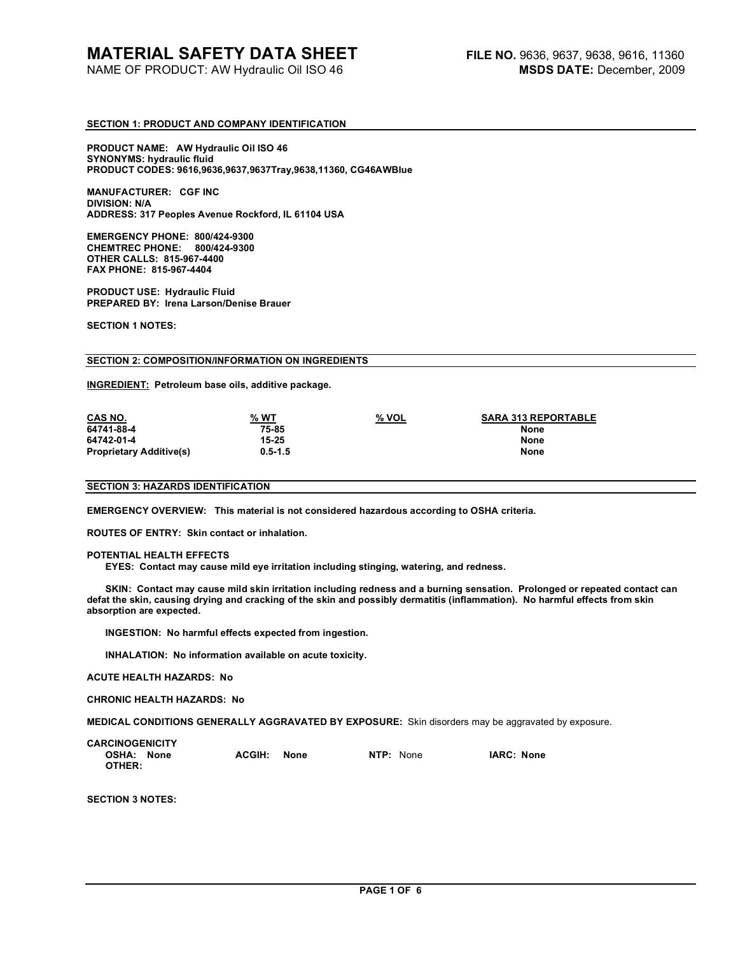# **SECTION 1: PRODUCT AND COMPANY IDENTIFICATION**

**PRODUCT NAME: AW Hydraulic Oil ISO 46 SYNONYMS: hydraulic fluid PRODUCT CODES: 9616,9636,9637,9637Tray,9638,11360, CG46AWBlue** 

**MANUFACTURER: CGF INC DIVISION: N/A ADDRESS: 317 Peoples Avenue Rockford, IL 61104 USA** 

**EMERGENCY PHONE: 800/424-9300 CHEMTREC PHONE: 800/424-9300 OTHER CALLS: 815-967-4400 FAX PHONE: 815-967-4404** 

**PRODUCT USE: Hydraulic Fluid PREPARED BY: Irena Larson/Denise Brauer** 

**SECTION 1 NOTES:** 

#### **SECTION 2: COMPOSITION/INFORMATION ON INGREDIENTS**

**INGREDIENT: Petroleum base oils, additive package.** 

| CAS NO.                        | % WT        | % VOL | <b>SARA 313 REPORTABLE</b> |
|--------------------------------|-------------|-------|----------------------------|
| 64741-88-4                     | 75-85       |       | None                       |
| 64742-01-4                     | 15-25       |       | None                       |
| <b>Proprietary Additive(s)</b> | $0.5 - 1.5$ |       | None                       |

#### **SECTION 3: HAZARDS IDENTIFICATION**

**EMERGENCY OVERVIEW: This material is not considered hazardous according to OSHA criteria.** 

**ROUTES OF ENTRY: Skin contact or inhalation.** 

#### **POTENTIAL HEALTH EFFECTS**

 **EYES: Contact may cause mild eye irritation including stinging, watering, and redness.** 

 **SKIN: Contact may cause mild skin irritation including redness and a burning sensation. Prolonged or repeated contact can defat the skin, causing drying and cracking of the skin and possibly dermatitis (inflammation). No harmful effects from skin absorption are expected.** 

 **INGESTION: No harmful effects expected from ingestion.** 

 **INHALATION: No information available on acute toxicity.** 

**ACUTE HEALTH HAZARDS: No** 

**CHRONIC HEALTH HAZARDS: No** 

**MEDICAL CONDITIONS GENERALLY AGGRAVATED BY EXPOSURE:** Skin disorders may be aggravated by exposure.

| <b>CARCINOGENICITY</b> |                |           |            |
|------------------------|----------------|-----------|------------|
| OSHA: None<br>OTHER:   | ACGIH:<br>None | NTP: None | IARC: None |

**SECTION 3 NOTES:**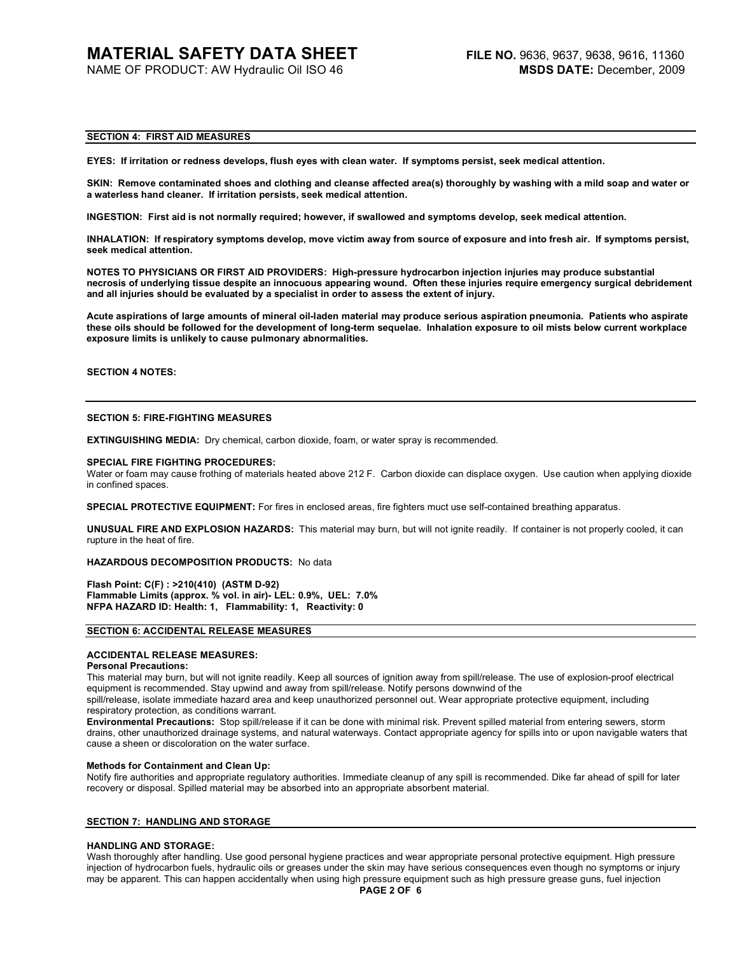# **SECTION 4: FIRST AID MEASURES**

**EYES: If irritation or redness develops, flush eyes with clean water. If symptoms persist, seek medical attention.** 

**SKIN: Remove contaminated shoes and clothing and cleanse affected area(s) thoroughly by washing with a mild soap and water or a waterless hand cleaner. If irritation persists, seek medical attention.** 

**INGESTION: First aid is not normally required; however, if swallowed and symptoms develop, seek medical attention.** 

**INHALATION: If respiratory symptoms develop, move victim away from source of exposure and into fresh air. If symptoms persist, seek medical attention.** 

**NOTES TO PHYSICIANS OR FIRST AID PROVIDERS: High-pressure hydrocarbon injection injuries may produce substantial necrosis of underlying tissue despite an innocuous appearing wound. Often these injuries require emergency surgical debridement and all injuries should be evaluated by a specialist in order to assess the extent of injury.** 

**Acute aspirations of large amounts of mineral oil-laden material may produce serious aspiration pneumonia. Patients who aspirate these oils should be followed for the development of long-term sequelae. Inhalation exposure to oil mists below current workplace exposure limits is unlikely to cause pulmonary abnormalities.** 

# **SECTION 4 NOTES:**

## **SECTION 5: FIRE-FIGHTING MEASURES**

**EXTINGUISHING MEDIA:** Dry chemical, carbon dioxide, foam, or water spray is recommended.

#### **SPECIAL FIRE FIGHTING PROCEDURES:**

Water or foam may cause frothing of materials heated above 212 F. Carbon dioxide can displace oxygen. Use caution when applying dioxide in confined spaces.

**SPECIAL PROTECTIVE EQUIPMENT:** For fires in enclosed areas, fire fighters muct use self-contained breathing apparatus.

**UNUSUAL FIRE AND EXPLOSION HAZARDS:** This material may burn, but will not ignite readily. If container is not properly cooled, it can rupture in the heat of fire.

**HAZARDOUS DECOMPOSITION PRODUCTS:** No data

**Flash Point: C(F) : >210(410) (ASTM D-92) Flammable Limits (approx. % vol. in air)- LEL: 0.9%, UEL: 7.0% NFPA HAZARD ID: Health: 1, Flammability: 1, Reactivity: 0** 

# **SECTION 6: ACCIDENTAL RELEASE MEASURES**

# **ACCIDENTAL RELEASE MEASURES:**

#### **Personal Precautions:**

This material may burn, but will not ignite readily. Keep all sources of ignition away from spill/release. The use of explosion-proof electrical equipment is recommended. Stay upwind and away from spill/release. Notify persons downwind of the

spill/release, isolate immediate hazard area and keep unauthorized personnel out. Wear appropriate protective equipment, including respiratory protection, as conditions warrant.

**Environmental Precautions:** Stop spill/release if it can be done with minimal risk. Prevent spilled material from entering sewers, storm drains, other unauthorized drainage systems, and natural waterways. Contact appropriate agency for spills into or upon navigable waters that cause a sheen or discoloration on the water surface.

#### **Methods for Containment and Clean Up:**

Notify fire authorities and appropriate regulatory authorities. Immediate cleanup of any spill is recommended. Dike far ahead of spill for later recovery or disposal. Spilled material may be absorbed into an appropriate absorbent material.

# **SECTION 7: HANDLING AND STORAGE**

#### **HANDLING AND STORAGE:**

Wash thoroughly after handling. Use good personal hygiene practices and wear appropriate personal protective equipment. High pressure injection of hydrocarbon fuels, hydraulic oils or greases under the skin may have serious consequences even though no symptoms or injury may be apparent. This can happen accidentally when using high pressure equipment such as high pressure grease guns, fuel injection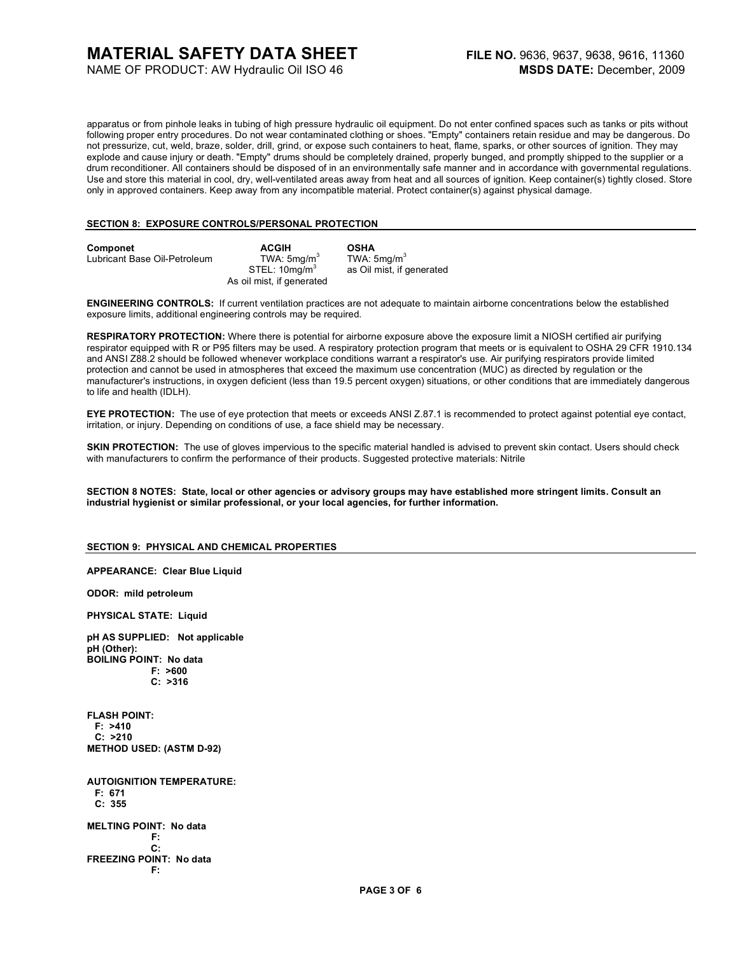# **MATERIAL SAFETY DATA SHEET**

NAME OF PRODUCT: AW Hydraulic Oil ISO 46

apparatus or from pinhole leaks in tubing of high pressure hydraulic oil equipment. Do not enter confined spaces such as tanks or pits without following proper entry procedures. Do not wear contaminated clothing or shoes. "Empty" containers retain residue and may be dangerous. Do not pressurize, cut, weld, braze, solder, drill, grind, or expose such containers to heat, flame, sparks, or other sources of ignition. They may explode and cause injury or death. "Empty" drums should be completely drained, properly bunged, and promptly shipped to the supplier or a drum reconditioner. All containers should be disposed of in an environmentally safe manner and in accordance with governmental regulations. Use and store this material in cool, dry, well-ventilated areas away from heat and all sources of ignition. Keep container(s) tightly closed. Store only in approved containers. Keep away from any incompatible material. Protect container(s) against physical damage.

# **SECTION 8: EXPOSURE CONTROLS/PERSONAL PROTECTION**

| Componet<br>Lubricant Base Oil-Petroleum | <b>ACGIH</b><br>TWA: $5 \text{mq/m}^3$<br>STEL: 10ma/m <sup>3</sup> | <b>OSHA</b><br>TWA: $5$ ma/m <sup>3</sup><br>as Oil mist, if generated |
|------------------------------------------|---------------------------------------------------------------------|------------------------------------------------------------------------|
|                                          | As oil mist, if generated                                           |                                                                        |

**ENGINEERING CONTROLS:** If current ventilation practices are not adequate to maintain airborne concentrations below the established exposure limits, additional engineering controls may be required.

**RESPIRATORY PROTECTION:** Where there is potential for airborne exposure above the exposure limit a NIOSH certified air purifying respirator equipped with R or P95 filters may be used. A respiratory protection program that meets or is equivalent to OSHA 29 CFR 1910.134 and ANSI Z88.2 should be followed whenever workplace conditions warrant a respirator's use. Air purifying respirators provide limited protection and cannot be used in atmospheres that exceed the maximum use concentration (MUC) as directed by regulation or the manufacturer's instructions, in oxygen deficient (less than 19.5 percent oxygen) situations, or other conditions that are immediately dangerous to life and health (IDLH).

**EYE PROTECTION:** The use of eve protection that meets or exceeds ANSI Z.87.1 is recommended to protect against potential eve contact. irritation, or injury. Depending on conditions of use, a face shield may be necessary.

**SKIN PROTECTION:** The use of gloves impervious to the specific material handled is advised to prevent skin contact. Users should check with manufacturers to confirm the performance of their products. Suggested protective materials: Nitrile

**SECTION 8 NOTES: State, local or other agencies or advisory groups may have established more stringent limits. Consult an industrial hygienist or similar professional, or your local agencies, for further information.** 

# **SECTION 9: PHYSICAL AND CHEMICAL PROPERTIES**

**APPEARANCE: Clear Blue Liquid** 

**ODOR: mild petroleum** 

**PHYSICAL STATE: Liquid** 

**pH AS SUPPLIED: Not applicable pH (Other): BOILING POINT: No data F: >600 C: >316** 

**FLASH POINT: F: >410 C: >210 METHOD USED: (ASTM D-92) AUTOIGNITION TEMPERATURE:** 

 **F: 671 C: 355 MELTING POINT: No data F: C: FREEZING POINT: No data F:**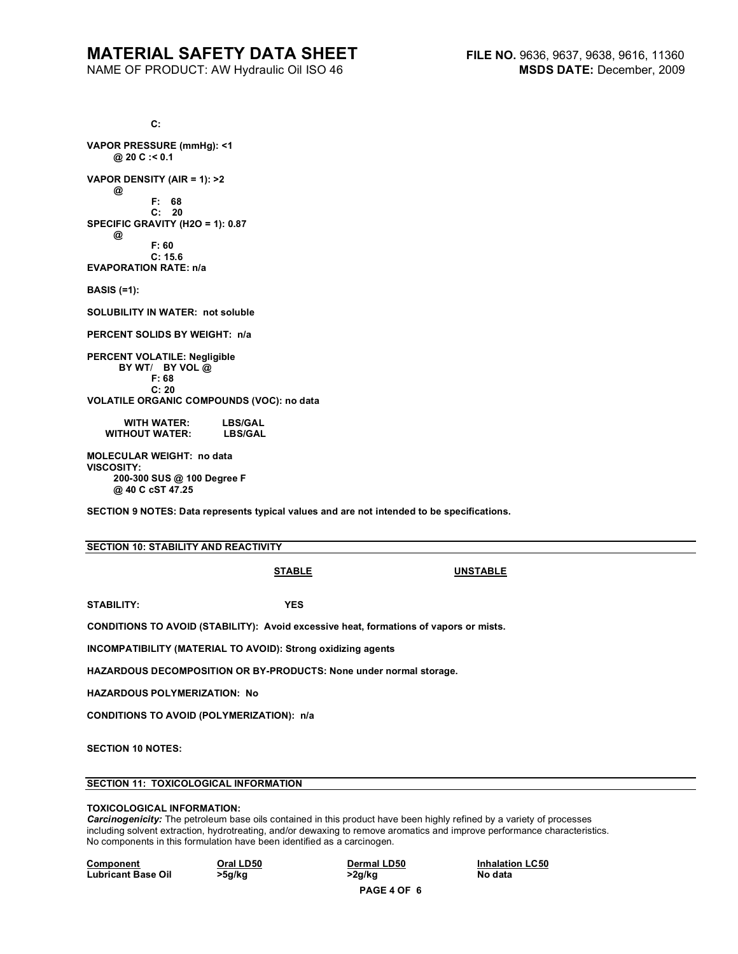# **MATERIAL SAFETY DATA SHEET**

NAME OF PRODUCT: AW Hydraulic Oil ISO 46

 **C: VAPOR PRESSURE (mmHg): <1 @ 20 C :< 0.1 VAPOR DENSITY (AIR = 1): >2 @ F: 68 C: 20 SPECIFIC GRAVITY (H2O = 1): 0.87 @ F: 60 C: 15.6 EVAPORATION RATE: n/a BASIS (=1): SOLUBILITY IN WATER: not soluble PERCENT SOLIDS BY WEIGHT: n/a PERCENT VOLATILE: Negligible BY WT**/ **BY VOL @ F: 68 C: 20 VOLATILE ORGANIC COMPOUNDS (VOC): no data WITH WATER: LBS/GAL WITHOUT WATER: MOLECULAR WEIGHT: no data VISCOSITY: 200-300 SUS @ 100 Degree F @ 40 C cST 47.25** 

**SECTION 9 NOTES: Data represents typical values and are not intended to be specifications.** 

### **SECTION 10: STABILITY AND REACTIVITY**

**STABLE UNSTABLE**

**STABILITY: YES** 

**CONDITIONS TO AVOID (STABILITY): Avoid excessive heat, formations of vapors or mists.** 

**INCOMPATIBILITY (MATERIAL TO AVOID): Strong oxidizing agents** 

**HAZARDOUS DECOMPOSITION OR BY-PRODUCTS: None under normal storage.** 

**HAZARDOUS POLYMERIZATION: No** 

**CONDITIONS TO AVOID (POLYMERIZATION): n/a** 

**SECTION 10 NOTES:** 

# **SECTION 11: TOXICOLOGICAL INFORMATION**

#### **TOXICOLOGICAL INFORMATION:**

*Carcinogenicity:* The petroleum base oils contained in this product have been highly refined by a variety of processes including solvent extraction, hydrotreating, and/or dewaxing to remove aromatics and improve performance characteristics. No components in this formulation have been identified as a carcinogen.

**Component Component Component Component Component Component Component Component Component Component Component Component Component Component Component Component Component Component Component Component Component Component C** Lubricant Base Oil  $>5g/kg$   $>2g/kg$  No data

**PAGE 4 OF 6**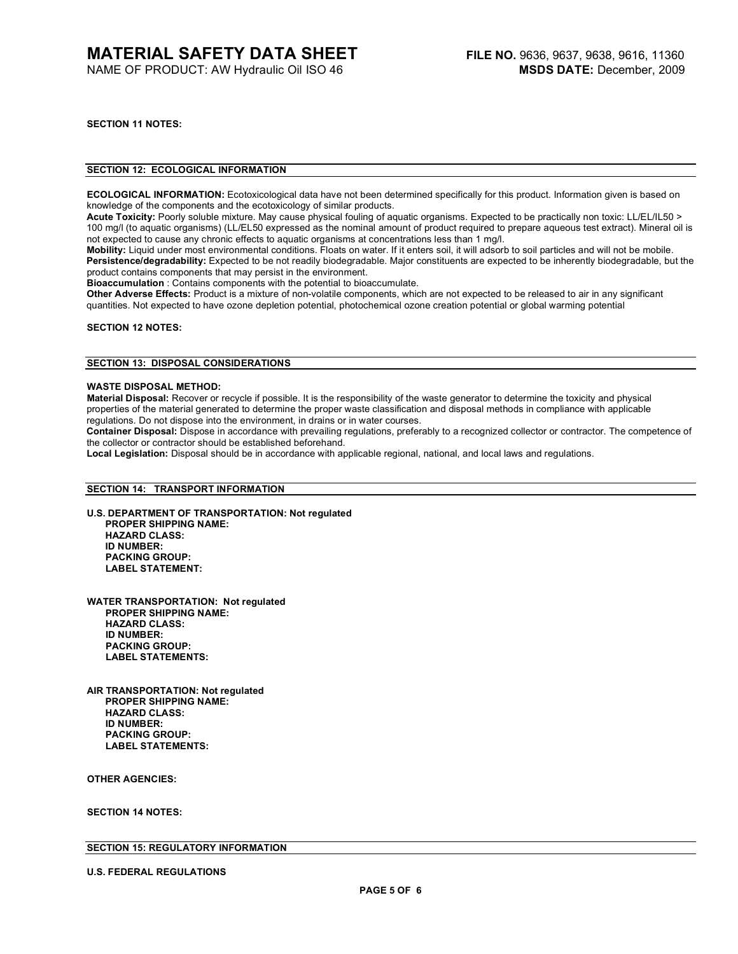**SECTION 11 NOTES:** 

# **SECTION 12: ECOLOGICAL INFORMATION**

**ECOLOGICAL INFORMATION:** Ecotoxicological data have not been determined specifically for this product. Information given is based on knowledge of the components and the ecotoxicology of similar products.

**Acute Toxicity:** Poorly soluble mixture. May cause physical fouling of aquatic organisms. Expected to be practically non toxic: LL/EL/IL50 > 100 mg/l (to aquatic organisms) (LL/EL50 expressed as the nominal amount of product required to prepare aqueous test extract). Mineral oil is not expected to cause any chronic effects to aquatic organisms at concentrations less than 1 mg/l.

**Mobility:** Liquid under most environmental conditions. Floats on water. If it enters soil, it will adsorb to soil particles and will not be mobile. **Persistence/degradability:** Expected to be not readily biodegradable. Major constituents are expected to be inherently biodegradable, but the product contains components that may persist in the environment.

**Bioaccumulation** : Contains components with the potential to bioaccumulate.

**Other Adverse Effects:** Product is a mixture of non-volatile components, which are not expected to be released to air in any significant quantities. Not expected to have ozone depletion potential, photochemical ozone creation potential or global warming potential

**SECTION 12 NOTES:** 

# **SECTION 13: DISPOSAL CONSIDERATIONS**

#### **WASTE DISPOSAL METHOD:**

**Material Disposal:** Recover or recycle if possible. It is the responsibility of the waste generator to determine the toxicity and physical properties of the material generated to determine the proper waste classification and disposal methods in compliance with applicable regulations. Do not dispose into the environment, in drains or in water courses.

**Container Disposal:** Dispose in accordance with prevailing regulations, preferably to a recognized collector or contractor. The competence of the collector or contractor should be established beforehand.

**Local Legislation:** Disposal should be in accordance with applicable regional, national, and local laws and regulations.

### **SECTION 14: TRANSPORT INFORMATION**

- **U.S. DEPARTMENT OF TRANSPORTATION: Not regulated PROPER SHIPPING NAME: HAZARD CLASS: ID NUMBER: PACKING GROUP: LABEL STATEMENT:**
- **WATER TRANSPORTATION: Not regulated PROPER SHIPPING NAME: HAZARD CLASS: ID NUMBER: PACKING GROUP: LABEL STATEMENTS:**

**AIR TRANSPORTATION: Not regulated PROPER SHIPPING NAME: HAZARD CLASS: ID NUMBER: PACKING GROUP: LABEL STATEMENTS:** 

**OTHER AGENCIES:** 

**SECTION 14 NOTES:** 

# **SECTION 15: REGULATORY INFORMATION**

**U.S. FEDERAL REGULATIONS**